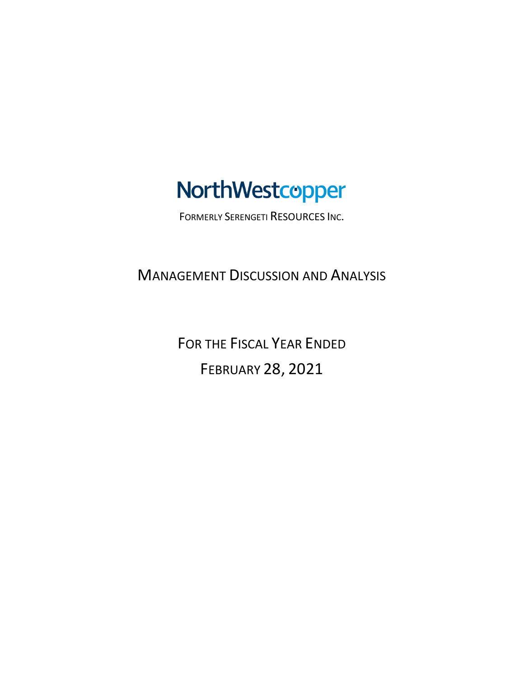# NorthWestcopper

FORMERLY SERENGETI RESOURCES INC.

MANAGEMENT DISCUSSION AND ANALYSIS

FOR THE FISCAL YEAR ENDED FEBRUARY 28, 2021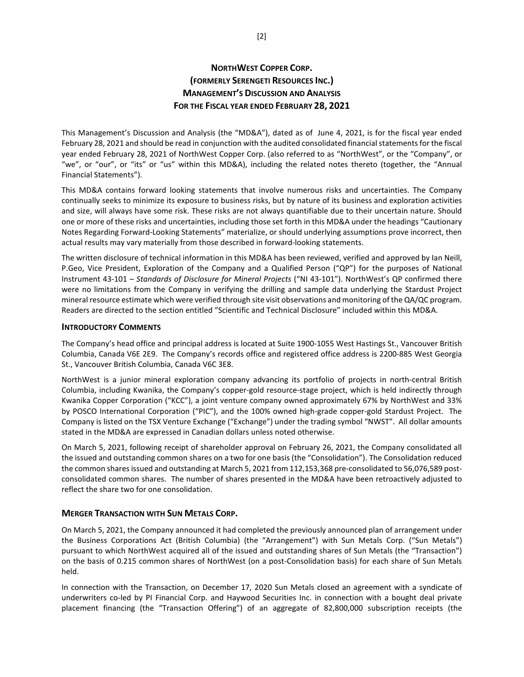# **NORTHWEST COPPER CORP. (FORMERLY SERENGETI RESOURCES INC.) MANAGEMENT'S DISCUSSION AND ANALYSIS FOR THE FISCAL YEAR ENDED FEBRUARY 28, 2021**

This Management's Discussion and Analysis (the "MD&A"), dated as of June 4, 2021, is for the fiscal year ended February 28, 2021 and should be read in conjunction with the audited consolidated financial statements for the fiscal year ended February 28, 2021 of NorthWest Copper Corp. (also referred to as "NorthWest", or the "Company", or "we", or "our", or "its" or "us" within this MD&A), including the related notes thereto (together, the "Annual Financial Statements").

This MD&A contains forward looking statements that involve numerous risks and uncertainties. The Company continually seeks to minimize its exposure to business risks, but by nature of its business and exploration activities and size, will always have some risk. These risks are not always quantifiable due to their uncertain nature. Should one or more of these risks and uncertainties, including those set forth in this MD&A under the headings "Cautionary Notes Regarding Forward-Looking Statements" materialize, or should underlying assumptions prove incorrect, then actual results may vary materially from those described in forward-looking statements.

The written disclosure of technical information in this MD&A has been reviewed, verified and approved by Ian Neill, P.Geo, Vice President, Exploration of the Company and a Qualified Person ("QP") for the purposes of National Instrument 43-101 – *Standards of Disclosure for Mineral Projects* ("NI 43-101"). NorthWest's QP confirmed there were no limitations from the Company in verifying the drilling and sample data underlying the Stardust Project mineral resource estimate which were verified through site visit observations and monitoring of the QA/QC program. Readers are directed to the section entitled "Scientific and Technical Disclosure" included within this MD&A.

#### **INTRODUCTORY COMMENTS**

The Company's head office and principal address is located at Suite 1900-1055 West Hastings St., Vancouver British Columbia, Canada V6E 2E9. The Company's records office and registered office address is 2200-885 West Georgia St., Vancouver British Columbia, Canada V6C 3E8.

NorthWest is a junior mineral exploration company advancing its portfolio of projects in north-central British Columbia, including Kwanika, the Company's copper-gold resource-stage project, which is held indirectly through Kwanika Copper Corporation ("KCC"), a joint venture company owned approximately 67% by NorthWest and 33% by POSCO International Corporation ("PIC"), and the 100% owned high-grade copper-gold Stardust Project. The Company is listed on the TSX Venture Exchange ("Exchange") under the trading symbol "NWST". All dollar amounts stated in the MD&A are expressed in Canadian dollars unless noted otherwise.

On March 5, 2021, following receipt of shareholder approval on February 26, 2021, the Company consolidated all the issued and outstanding common shares on a two for one basis (the "Consolidation"). The Consolidation reduced the common shares issued and outstanding at March 5, 2021 from 112,153,368 pre-consolidated to 56,076,589 postconsolidated common shares. The number of shares presented in the MD&A have been retroactively adjusted to reflect the share two for one consolidation.

#### **MERGER TRANSACTION WITH SUN METALS CORP.**

On March 5, 2021, the Company announced it had completed the previously announced plan of arrangement under the Business Corporations Act (British Columbia) (the "Arrangement") with Sun Metals Corp. ("Sun Metals") pursuant to which NorthWest acquired all of the issued and outstanding shares of Sun Metals (the "Transaction") on the basis of 0.215 common shares of NorthWest (on a post-Consolidation basis) for each share of Sun Metals held.

In connection with the Transaction, on December 17, 2020 Sun Metals closed an agreement with a syndicate of underwriters co-led by PI Financial Corp. and Haywood Securities Inc. in connection with a bought deal private placement financing (the "Transaction Offering") of an aggregate of 82,800,000 subscription receipts (the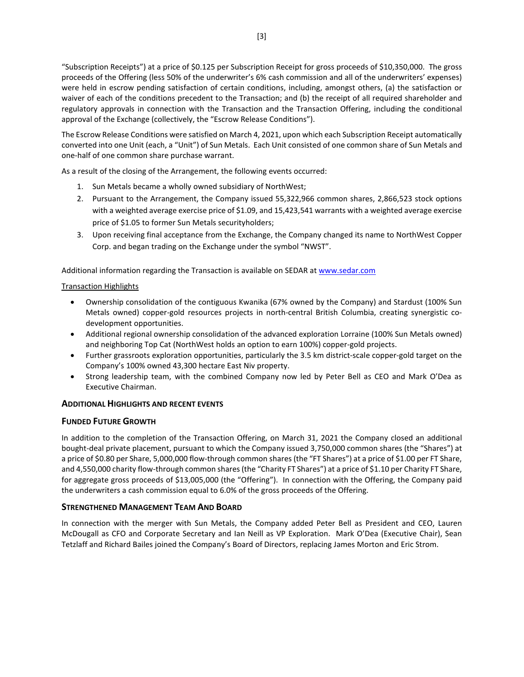"Subscription Receipts") at a price of \$0.125 per Subscription Receipt for gross proceeds of \$10,350,000. The gross proceeds of the Offering (less 50% of the underwriter's 6% cash commission and all of the underwriters' expenses) were held in escrow pending satisfaction of certain conditions, including, amongst others, (a) the satisfaction or waiver of each of the conditions precedent to the Transaction; and (b) the receipt of all required shareholder and regulatory approvals in connection with the Transaction and the Transaction Offering, including the conditional approval of the Exchange (collectively, the "Escrow Release Conditions").

The Escrow Release Conditions were satisfied on March 4, 2021, upon which each Subscription Receipt automatically converted into one Unit (each, a "Unit") of Sun Metals. Each Unit consisted of one common share of Sun Metals and one-half of one common share purchase warrant.

As a result of the closing of the Arrangement, the following events occurred:

- 1. Sun Metals became a wholly owned subsidiary of NorthWest;
- 2. Pursuant to the Arrangement, the Company issued 55,322,966 common shares, 2,866,523 stock options with a weighted average exercise price of \$1.09, and 15,423,541 warrants with a weighted average exercise price of \$1.05 to former Sun Metals securityholders;
- 3. Upon receiving final acceptance from the Exchange, the Company changed its name to NorthWest Copper Corp. and began trading on the Exchange under the symbol "NWST".

Additional information regarding the Transaction is available on SEDAR a[t www.sedar.com](http://www.sedar.com/)

## Transaction Highlights

- Ownership consolidation of the contiguous Kwanika (67% owned by the Company) and Stardust (100% Sun Metals owned) copper-gold resources projects in north-central British Columbia, creating synergistic codevelopment opportunities.
- Additional regional ownership consolidation of the advanced exploration Lorraine (100% Sun Metals owned) and neighboring Top Cat (NorthWest holds an option to earn 100%) copper-gold projects.
- Further grassroots exploration opportunities, particularly the 3.5 km district-scale copper-gold target on the Company's 100% owned 43,300 hectare East Niv property.
- Strong leadership team, with the combined Company now led by Peter Bell as CEO and Mark O'Dea as Executive Chairman.

# **ADDITIONAL HIGHLIGHTS AND RECENT EVENTS**

# **FUNDED FUTURE GROWTH**

In addition to the completion of the Transaction Offering, on March 31, 2021 the Company closed an additional bought-deal private placement, pursuant to which the Company issued 3,750,000 common shares (the "Shares") at a price of \$0.80 per Share, 5,000,000 flow-through common shares (the "FT Shares") at a price of \$1.00 per FT Share, and 4,550,000 charity flow-through common shares (the "Charity FT Shares") at a price of \$1.10 per Charity FT Share, for aggregate gross proceeds of \$13,005,000 (the "Offering"). In connection with the Offering, the Company paid the underwriters a cash commission equal to 6.0% of the gross proceeds of the Offering.

#### **STRENGTHENED MANAGEMENT TEAM AND BOARD**

In connection with the merger with Sun Metals, the Company added Peter Bell as President and CEO, Lauren McDougall as CFO and Corporate Secretary and Ian Neill as VP Exploration. Mark O'Dea (Executive Chair), Sean Tetzlaff and Richard Bailes joined the Company's Board of Directors, replacing James Morton and Eric Strom.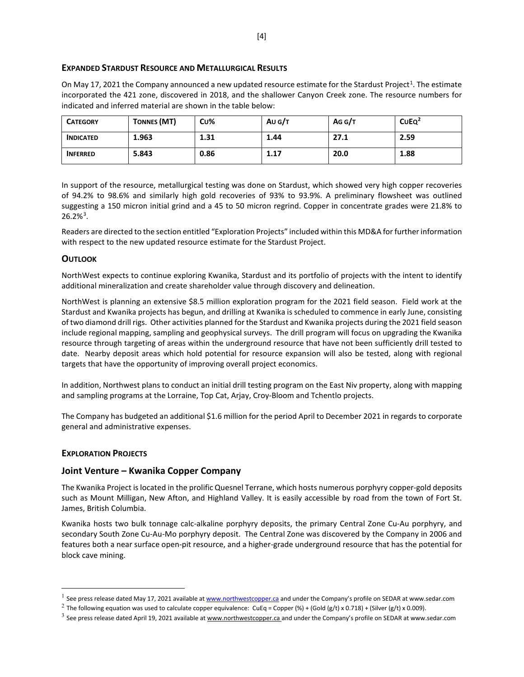#### **EXPANDED STARDUST RESOURCE AND METALLURGICAL RESULTS**

On May [1](#page-3-0)7, 2021 the Company announced a new updated resource estimate for the Stardust Project<sup>1</sup>. The estimate incorporated the 421 zone, discovered in 2018, and the shallower Canyon Creek zone. The resource numbers for indicated and inferred material are shown in the table below:

| <b>CATEGORY</b>  | <b>TONNES (MT)</b> | Cu%  | Au $G/T$ | AGG/T | CUEQ <sup>2</sup> |
|------------------|--------------------|------|----------|-------|-------------------|
| <b>INDICATED</b> | 1.963              | 1.31 | 1.44     | 27.1  | 2.59              |
| <b>INFERRED</b>  | 5.843              | 0.86 | 1.17     | 20.0  | 1.88              |

In support of the resource, metallurgical testing was done on Stardust, which showed very high copper recoveries of 94.2% to 98.6% and similarly high gold recoveries of 93% to 93.9%. A preliminary flowsheet was outlined suggesting a 150 micron initial grind and a 45 to 50 micron regrind. Copper in concentrate grades were 21.8% to  $26.2\%$ <sup>[3](#page-3-2)</sup>.

Readers are directed to the section entitled "Exploration Projects" included within this MD&A for further information with respect to the new updated resource estimate for the Stardust Project.

#### **OUTLOOK**

NorthWest expects to continue exploring Kwanika, Stardust and its portfolio of projects with the intent to identify additional mineralization and create shareholder value through discovery and delineation.

NorthWest is planning an extensive \$8.5 million exploration program for the 2021 field season. Field work at the Stardust and Kwanika projects has begun, and drilling at Kwanika is scheduled to commence in early June, consisting of two diamond drill rigs. Other activities planned for the Stardust and Kwanika projects during the 2021 field season include regional mapping, sampling and geophysical surveys. The drill program will focus on upgrading the Kwanika resource through targeting of areas within the underground resource that have not been sufficiently drill tested to date. Nearby deposit areas which hold potential for resource expansion will also be tested, along with regional targets that have the opportunity of improving overall project economics.

In addition, Northwest plans to conduct an initial drill testing program on the East Niv property, along with mapping and sampling programs at the Lorraine, Top Cat, Arjay, Croy-Bloom and Tchentlo projects.

The Company has budgeted an additional \$1.6 million for the period April to December 2021 in regards to corporate general and administrative expenses.

#### **EXPLORATION PROJECTS**

#### **Joint Venture – Kwanika Copper Company**

The Kwanika Project is located in the prolific Quesnel Terrane, which hosts numerous porphyry copper-gold deposits such as Mount Milligan, New Afton, and Highland Valley. It is easily accessible by road from the town of Fort St. James, British Columbia.

Kwanika hosts two bulk tonnage calc-alkaline porphyry deposits, the primary Central Zone Cu-Au porphyry, and secondary South Zone Cu-Au-Mo porphyry deposit. The Central Zone was discovered by the Company in 2006 and features both a near surface open-pit resource, and a higher-grade underground resource that has the potential for block cave mining.

<span id="page-3-0"></span><sup>&</sup>lt;sup>1</sup> See press release dated May 17, 2021 available at [www.northwestcopper.ca](http://www.northwestcopper.ca/) and under the Company's profile on SEDAR at www.sedar.com

<span id="page-3-1"></span><sup>&</sup>lt;sup>2</sup> The following equation was used to calculate copper equivalence: CuEq = Copper (%) + (Gold (g/t) x 0.718) + (Silver (g/t) x 0.009).

<span id="page-3-2"></span> $3$  See press release dated April 19, 2021 available at [www.northwestcopper.ca](http://www.northwestcopper.ca/) and under the Company's profile on SEDAR at www.sedar.com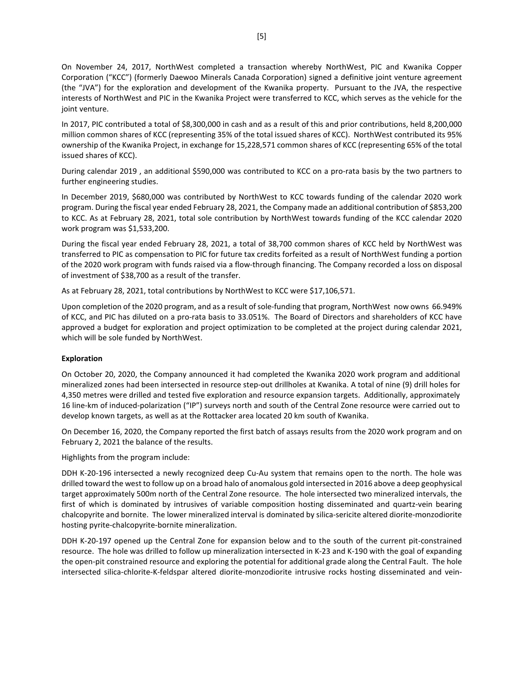On November 24, 2017, NorthWest completed a transaction whereby NorthWest, PIC and Kwanika Copper Corporation ("KCC") (formerly Daewoo Minerals Canada Corporation) signed a definitive joint venture agreement (the "JVA") for the exploration and development of the Kwanika property. Pursuant to the JVA, the respective interests of NorthWest and PIC in the Kwanika Project were transferred to KCC, which serves as the vehicle for the joint venture.

In 2017, PIC contributed a total of \$8,300,000 in cash and as a result of this and prior contributions, held 8,200,000 million common shares of KCC (representing 35% of the total issued shares of KCC). NorthWest contributed its 95% ownership of the Kwanika Project, in exchange for 15,228,571 common shares of KCC (representing 65% of the total issued shares of KCC).

During calendar 2019 , an additional \$590,000 was contributed to KCC on a pro-rata basis by the two partners to further engineering studies.

In December 2019, \$680,000 was contributed by NorthWest to KCC towards funding of the calendar 2020 work program. During the fiscal year ended February 28, 2021, the Company made an additional contribution of \$853,200 to KCC. As at February 28, 2021, total sole contribution by NorthWest towards funding of the KCC calendar 2020 work program was \$1,533,200.

During the fiscal year ended February 28, 2021, a total of 38,700 common shares of KCC held by NorthWest was transferred to PIC as compensation to PIC for future tax credits forfeited as a result of NorthWest funding a portion of the 2020 work program with funds raised via a flow-through financing. The Company recorded a loss on disposal of investment of \$38,700 as a result of the transfer.

As at February 28, 2021, total contributions by NorthWest to KCC were \$17,106,571.

Upon completion of the 2020 program, and as a result of sole-funding that program, NorthWest now owns 66.949% of KCC, and PIC has diluted on a pro-rata basis to 33.051%. The Board of Directors and shareholders of KCC have approved a budget for exploration and project optimization to be completed at the project during calendar 2021, which will be sole funded by NorthWest.

#### **Exploration**

On October 20, 2020, the Company announced it had completed the Kwanika 2020 work program and additional mineralized zones had been intersected in resource step-out drillholes at Kwanika. A total of nine (9) drill holes for 4,350 metres were drilled and tested five exploration and resource expansion targets. Additionally, approximately 16 line-km of induced-polarization ("IP") surveys north and south of the Central Zone resource were carried out to develop known targets, as well as at the Rottacker area located 20 km south of Kwanika.

On December 16, 2020, the Company reported the first batch of assays results from the 2020 work program and on February 2, 2021 the balance of the results.

Highlights from the program include:

DDH K-20-196 intersected a newly recognized deep Cu-Au system that remains open to the north. The hole was drilled toward the west to follow up on a broad halo of anomalous gold intersected in 2016 above a deep geophysical target approximately 500m north of the Central Zone resource. The hole intersected two mineralized intervals, the first of which is dominated by intrusives of variable composition hosting disseminated and quartz-vein bearing chalcopyrite and bornite. The lower mineralized interval is dominated by silica-sericite altered diorite-monzodiorite hosting pyrite-chalcopyrite-bornite mineralization.

DDH K-20-197 opened up the Central Zone for expansion below and to the south of the current pit-constrained resource. The hole was drilled to follow up mineralization intersected in K-23 and K-190 with the goal of expanding the open-pit constrained resource and exploring the potential for additional grade along the Central Fault. The hole intersected silica-chlorite-K-feldspar altered diorite-monzodiorite intrusive rocks hosting disseminated and vein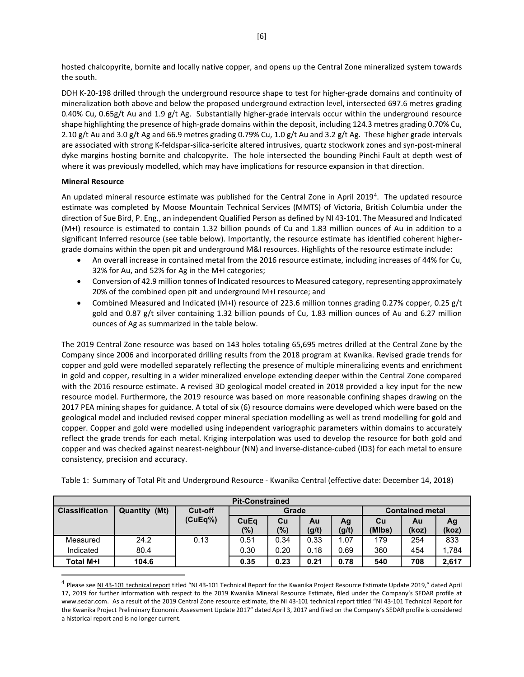hosted chalcopyrite, bornite and locally native copper, and opens up the Central Zone mineralized system towards the south.

DDH K-20-198 drilled through the underground resource shape to test for higher-grade domains and continuity of mineralization both above and below the proposed underground extraction level, intersected 697.6 metres grading 0.40% Cu, 0.65g/t Au and 1.9 g/t Ag. Substantially higher-grade intervals occur within the underground resource shape highlighting the presence of high-grade domains within the deposit, including 124.3 metres grading 0.70% Cu, 2.10 g/t Au and 3.0 g/t Ag and 66.9 metres grading 0.79% Cu, 1.0 g/t Au and 3.2 g/t Ag. These higher grade intervals are associated with strong K-feldspar-silica-sericite altered intrusives, quartz stockwork zones and syn-post-mineral dyke margins hosting bornite and chalcopyrite. The hole intersected the bounding Pinchi Fault at depth west of where it was previously modelled, which may have implications for resource expansion in that direction.

#### **Mineral Resource**

An updated mineral resource estimate was published for the Central Zone in April 2019<sup>[4](#page-5-0)</sup>. The updated resource estimate was completed by Moose Mountain Technical Services (MMTS) of Victoria, British Columbia under the direction of Sue Bird, P. Eng., an independent Qualified Person as defined by NI 43-101. The Measured and Indicated (M+I) resource is estimated to contain 1.32 billion pounds of Cu and 1.83 million ounces of Au in addition to a significant Inferred resource (see table below). Importantly, the resource estimate has identified coherent highergrade domains within the open pit and underground M&I resources. Highlights of the resource estimate include:

- An overall increase in contained metal from the 2016 resource estimate, including increases of 44% for Cu, 32% for Au, and 52% for Ag in the M+I categories;
- Conversion of 42.9 million tonnes of Indicated resources to Measured category, representing approximately 20% of the combined open pit and underground M+I resource; and
- Combined Measured and Indicated (M+I) resource of 223.6 million tonnes grading 0.27% copper, 0.25 g/t gold and 0.87 g/t silver containing 1.32 billion pounds of Cu, 1.83 million ounces of Au and 6.27 million ounces of Ag as summarized in the table below.

The 2019 Central Zone resource was based on 143 holes totaling 65,695 metres drilled at the Central Zone by the Company since 2006 and incorporated drilling results from the 2018 program at Kwanika. Revised grade trends for copper and gold were modelled separately reflecting the presence of multiple mineralizing events and enrichment in gold and copper, resulting in a wider mineralized envelope extending deeper within the Central Zone compared with the 2016 resource estimate. A revised 3D geological model created in 2018 provided a key input for the new resource model. Furthermore, the 2019 resource was based on more reasonable confining shapes drawing on the 2017 PEA mining shapes for guidance. A total of six (6) resource domains were developed which were based on the geological model and included revised copper mineral speciation modelling as well as trend modelling for gold and copper. Copper and gold were modelled using independent variographic parameters within domains to accurately reflect the grade trends for each metal. Kriging interpolation was used to develop the resource for both gold and copper and was checked against nearest-neighbour (NN) and inverse-distance-cubed (ID3) for each metal to ensure consistency, precision and accuracy.

| <b>Pit-Constrained</b> |               |                |      |       |       |       |        |                        |       |  |
|------------------------|---------------|----------------|------|-------|-------|-------|--------|------------------------|-------|--|
| <b>Classification</b>  | Quantity (Mt) | <b>Cut-off</b> |      | Grade |       |       |        | <b>Contained metal</b> |       |  |
|                        |               | (CuEq%)        | CuEq | Cu    | Au    | Ag    | Cu     | Au                     | Ag    |  |
|                        |               |                | (%)  | (%)   | (g/t) | (g/t) | (MIbs) | (koz)                  | (koz) |  |
| Measured               | 24.2          | 0.13           | 0.51 | 0.34  | 0.33  | 1.07  | 179    | 254                    | 833   |  |
| Indicated              | 80.4          |                | 0.30 | 0.20  | 0.18  | 0.69  | 360    | 454                    | 1.784 |  |
| Total M+I              | 104.6         |                | 0.35 | 0.23  | 0.21  | 0.78  | 540    | 708                    | 2,617 |  |

Table 1: Summary of Total Pit and Underground Resource - Kwanika Central (effective date: December 14, 2018)

<span id="page-5-0"></span><sup>&</sup>lt;sup>4</sup> Please se[e NI 43-101 technical report](https://serengetiresources.com/site/assets/files/1510/ni43-101-serengetikwanika-rev-final-04172019.pdf) titled "NI 43-101 Technical Report for the Kwanika Project Resource Estimate Update 2019," dated April 17, 2019 for further information with respect to the 2019 Kwanika Mineral Resource Estimate, filed under the Company's SEDAR profile at [www.sedar.com.](http://www.sedar.com/) As a result of the 2019 Central Zone resource estimate, the NI 43-101 technical report titled "NI 43-101 Technical Report for the Kwanika Project Preliminary Economic Assessment Update 2017" dated April 3, 2017 and filed on the Company's SEDAR profile is considered a historical report and is no longer current.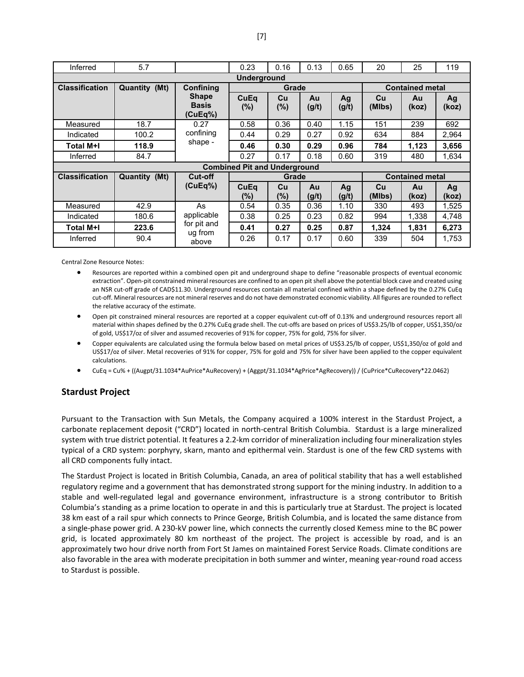| Inferred              | 5.7                  |                                         | 0.23                                | 0.16         | 0.13        | 0.65        | 20                     | 25                     | 119         |  |
|-----------------------|----------------------|-----------------------------------------|-------------------------------------|--------------|-------------|-------------|------------------------|------------------------|-------------|--|
| <b>Underground</b>    |                      |                                         |                                     |              |             |             |                        |                        |             |  |
| <b>Classification</b> | Quantity (Mt)        | Confining                               |                                     | Grade        |             |             |                        | <b>Contained metal</b> |             |  |
|                       |                      | <b>Shape</b><br><b>Basis</b><br>(CuEq%) | <b>CuEq</b><br>$(\%)$               | Cu<br>$(\%)$ | Au<br>(g/t) | Ag<br>(g/t) | Cu<br>(MIbs)           | Au<br>(koz)            | Ag<br>(koz) |  |
| Measured              | 18.7                 | 0.27                                    | 0.58                                | 0.36         | 0.40        | 1.15        | 151                    | 239                    | 692         |  |
| Indicated             | 100.2                | confining                               | 0.44                                | 0.29         | 0.27        | 0.92        | 634                    | 884                    | 2,964       |  |
| Total M+I             | 118.9                | shape -                                 | 0.46                                | 0.30         | 0.29        | 0.96        | 784                    | 1,123                  | 3,656       |  |
| Inferred              | 84.7                 |                                         | 0.27                                | 0.17         | 0.18        | 0.60        | 319                    | 480                    | 1,634       |  |
|                       |                      |                                         | <b>Combined Pit and Underground</b> |              |             |             |                        |                        |             |  |
| <b>Classification</b> | <b>Quantity (Mt)</b> | <b>Cut-off</b>                          |                                     | Grade        |             |             | <b>Contained metal</b> |                        |             |  |
|                       |                      | (CuEq%)                                 | CuEq<br>(%)                         | Cu<br>$(\%)$ | Au<br>(g/t) | Ag<br>(g/t) | Cu<br>(MIbs)           | Au<br>(koz)            | Ag<br>(koz) |  |
| Measured              | 42.9                 | As                                      | 0.54                                | 0.35         | 0.36        | 1.10        | 330                    | 493                    | 1,525       |  |
| Indicated             | 180.6                | applicable                              | 0.38                                | 0.25         | 0.23        | 0.82        | 994                    | 1,338                  | 4,748       |  |
| Total M+I             | 223.6                | for pit and<br>ug from                  | 0.41                                | 0.27         | 0.25        | 0.87        | 1,324                  | 1,831                  | 6,273       |  |
| Inferred              | 90.4                 | above                                   | 0.26                                | 0.17         | 0.17        | 0.60        | 339                    | 504                    | 1,753       |  |

Central Zone Resource Notes:

- Resources are reported within a combined open pit and underground shape to define "reasonable prospects of eventual economic extraction". Open-pit constrained mineral resources are confined to an open pit shell above the potential block cave and created using an NSR cut-off grade of CAD\$11.30. Underground resources contain all material confined within a shape defined by the 0.27% CuEq cut-off. Mineral resources are not mineral reserves and do not have demonstrated economic viability. All figures are rounded to reflect the relative accuracy of the estimate.
- Open pit constrained mineral resources are reported at a copper equivalent cut-off of 0.13% and underground resources report all material within shapes defined by the 0.27% CuEq grade shell. The cut-offs are based on prices of US\$3.25/lb of copper, US\$1,350/oz of gold, US\$17/oz of silver and assumed recoveries of 91% for copper, 75% for gold, 75% for silver.
- Copper equivalents are calculated using the formula below based on metal prices of US\$3.25/lb of copper, US\$1,350/oz of gold and US\$17/oz of silver. Metal recoveries of 91% for copper, 75% for gold and 75% for silver have been applied to the copper equivalent calculations.
- CuEq = Cu% + ((Augpt/31.1034\*AuPrice\*AuRecovery) + (Aggpt/31.1034\*AgPrice\*AgRecovery)) / (CuPrice\*CuRecovery\*22.0462)

# **Stardust Project**

Pursuant to the Transaction with Sun Metals, the Company acquired a 100% interest in the Stardust Project, a carbonate replacement deposit ("CRD") located in north-central British Columbia. Stardust is a large mineralized system with true district potential. It features a 2.2-km corridor of mineralization including four mineralization styles typical of a CRD system: porphyry, skarn, manto and epithermal vein. Stardust is one of the few CRD systems with all CRD components fully intact.

The Stardust Project is located in British Columbia, Canada, an area of political stability that has a well established regulatory regime and a government that has demonstrated strong support for the mining industry. In addition to a stable and well-regulated legal and governance environment, infrastructure is a strong contributor to British Columbia's standing as a prime location to operate in and this is particularly true at Stardust. The project is located 38 km east of a rail spur which connects to Prince George, British Columbia, and is located the same distance from a single-phase power grid. A 230-kV power line, which connects the currently closed Kemess mine to the BC power grid, is located approximately 80 km northeast of the project. The project is accessible by road, and is an approximately two hour drive north from Fort St James on maintained Forest Service Roads. Climate conditions are also favorable in the area with moderate precipitation in both summer and winter, meaning year-round road access to Stardust is possible.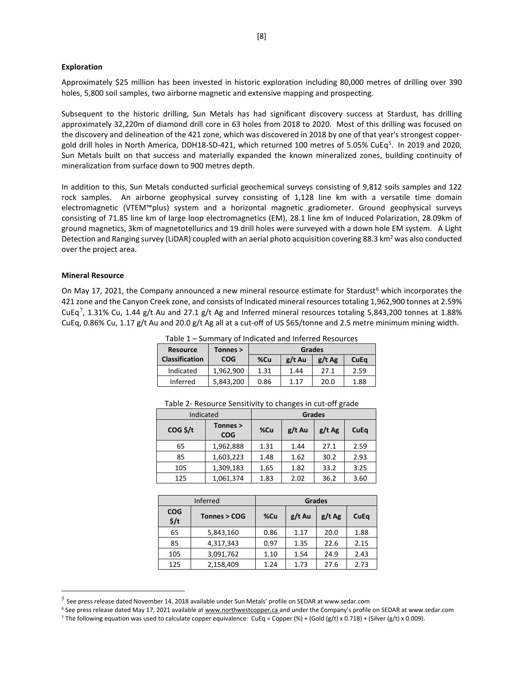#### **Exploration**

Approximately \$25 million has been invested in historic exploration including 80,000 metres of drilling over 390 holes, 5,800 soil samples, two airborne magnetic and extensive mapping and prospecting.

Subsequent to the historic drilling, Sun Metals has had significant discovery success at Stardust, has drilling approximately 32,220m of diamond drill core in 63 holes from 2018 to 2020. Most of this drilling was focused on the discovery and delineation of the 421 zone, which was discovered in 2018 by one of that year's strongest copper-gold drill holes in North America, DDH18-SD-421, which returned 100 metres of [5](#page-7-0).05% CuEq<sup>5</sup>. In 2019 and 2020, Sun Metals built on that success and materially expanded the known mineralized zones, building continuity of mineralization from surface down to 900 metres depth.

In addition to this, Sun Metals conducted surficial geochemical surveys consisting of 9,812 soils samples and 122 rock samples. An airborne geophysical survey consisting of 1,128 line km with a versatile time domain electromagnetic (VTEM™plus) system and a horizontal magnetic gradiometer. Ground geophysical surveys consisting of 71.85 line km of large loop electromagnetics (EM), 28.1 line km of Induced Polarization, 28.09km of ground magnetics, 3km of magnetotellurics and 19 drill holes were surveyed with a down hole EM system. A Light Detection and Ranging survey (LiDAR) coupled with an aerial photo acquisition covering 88.3 km<sup>2</sup> was also conducted over the project area.

#### **Mineral Resource**

On May 17, 2021, the Company announced a new mineral resource estimate for Stardust<sup>[6](#page-7-1)</sup> which incorporates the 421 zone and the Canyon Creek zone, and consists of Indicated mineral resources totaling 1,962,900 tonnes at 2.59% CuEq<sup>[7](#page-7-2)</sup>, 1.31% Cu, 1.44 g/t Au and 27.1 g/t Ag and Inferred mineral resources totaling 5,843,200 tonnes at 1.88% CuEq, 0.86% Cu, 1.17 g/t Au and 20.0 g/t Ag all at a cut-off of US \$65/tonne and 2.5 metre minimum mining width.

| <b>Resource</b>       | Tonnes >   | <b>Grades</b> |          |          |      |  |
|-----------------------|------------|---------------|----------|----------|------|--|
| <b>Classification</b> | <b>COG</b> | %Cu           | $g/t$ Au | $g/t$ Ag | CuEq |  |
| Indicated             | 1,962,900  | 1.31          | 1.44     | 27.1     | 2.59 |  |
| Inferred              | 5,843,200  | 0.86          | 1.17     | 20.0     | 1.88 |  |

Table 1 – Summary of Indicated and Inferred Resources

| Indicated         |                        |      | <b>Grades</b> |          |      |  |
|-------------------|------------------------|------|---------------|----------|------|--|
| $COG \frac{1}{2}$ | Tonnes ><br><b>COG</b> | %Cu  | $g/t$ Au      | $g/t$ Ag | CuEq |  |
| 65                | 1,962,888              | 1.31 | 1.44          | 27.1     | 2.59 |  |
| 85                | 1,603,223              | 1.48 | 1.62          | 30.2     | 2.93 |  |
| 105               | 1,309,183              | 1.65 | 1.82          | 33.2     | 3.25 |  |
| 125               | 1,061,374              | 1.83 | 2.02          | 36.2     | 3.60 |  |

Table 2- Resource Sensitivity to changes in cut-off grade

|                                | Inferred     | <b>Grades</b> |          |          |             |  |  |
|--------------------------------|--------------|---------------|----------|----------|-------------|--|--|
| <b>COG</b><br>$\frac{2}{3}$ /t | Tonnes > COG | %Cu           | $g/t$ Au | $g/t$ Ag | <b>CuEq</b> |  |  |
| 65                             | 5,843,160    | 0.86          | 1.17     | 20.0     | 1.88        |  |  |
| 85                             | 4,317,343    | 0.97          | 1.35     | 22.6     | 2.15        |  |  |
| 105                            | 3,091,762    | 1.10          | 1.54     | 24.9     | 2.43        |  |  |
| 125                            | 2,158,409    | 1.24          | 1.73     | 27.6     | 2.73        |  |  |

<span id="page-7-0"></span> $<sup>5</sup>$  See press release dated November 14, 2018 available under Sun Metals' profile on SEDAR at www.sedar.com</sup>

<span id="page-7-1"></span><sup>&</sup>lt;sup>6</sup> See press release dated May 17, 2021 available at [www.northwestcopper.ca](http://www.northwestcopper.ca/) and under the Company's profile on SEDAR at www.sedar.com

<span id="page-7-2"></span><sup>&</sup>lt;sup>7</sup> The following equation was used to calculate copper equivalence: CuEq = Copper (%) + (Gold (g/t) x 0.718) + (Silver (g/t) x 0.009).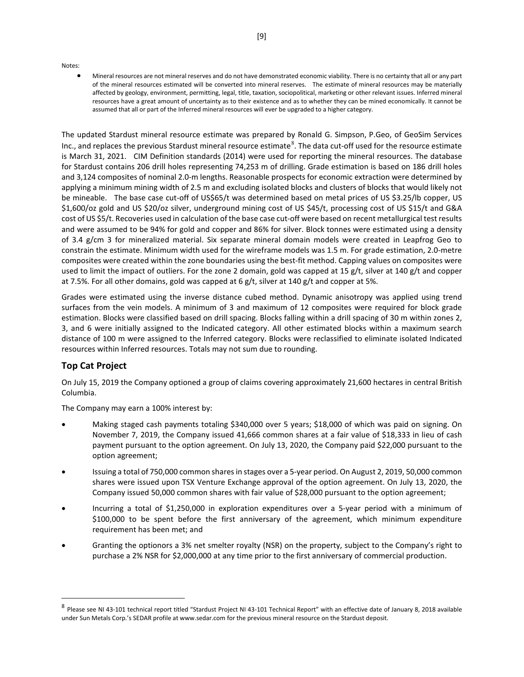Notes:

• Mineral resources are not mineral reserves and do not have demonstrated economic viability. There is no certainty that all or any part of the mineral resources estimated will be converted into mineral reserves. The estimate of mineral resources may be materially affected by geology, environment, permitting, legal, title, taxation, sociopolitical, marketing or other relevant issues. Inferred mineral resources have a great amount of uncertainty as to their existence and as to whether they can be mined economically. It cannot be assumed that all or part of the Inferred mineral resources will ever be upgraded to a higher category.

The updated Stardust mineral resource estimate was prepared by Ronald G. Simpson, P.Geo, of GeoSim Services Inc., and replaces the previous Stardust mineral resource estimate<sup>[8](#page-8-0)</sup>. The data cut-off used for the resource estimate is March 31, 2021. CIM Definition standards (2014) were used for reporting the mineral resources. The database for Stardust contains 206 drill holes representing 74,253 m of drilling. Grade estimation is based on 186 drill holes and 3,124 composites of nominal 2.0-m lengths. Reasonable prospects for economic extraction were determined by applying a minimum mining width of 2.5 m and excluding isolated blocks and clusters of blocks that would likely not be mineable. The base case cut-off of US\$65/t was determined based on metal prices of US \$3.25/lb copper, US \$1,600/oz gold and US \$20/oz silver, underground mining cost of US \$45/t, processing cost of US \$15/t and G&A cost of US \$5/t. Recoveries used in calculation of the base case cut-off were based on recent metallurgical test results and were assumed to be 94% for gold and copper and 86% for silver. Block tonnes were estimated using a density of 3.4 g/cm 3 for mineralized material. Six separate mineral domain models were created in Leapfrog Geo to constrain the estimate. Minimum width used for the wireframe models was 1.5 m. For grade estimation, 2.0-metre composites were created within the zone boundaries using the best-fit method. Capping values on composites were used to limit the impact of outliers. For the zone 2 domain, gold was capped at 15  $g/t$ , silver at 140  $g/t$  and copper at 7.5%. For all other domains, gold was capped at 6 g/t, silver at 140 g/t and copper at 5%.

Grades were estimated using the inverse distance cubed method. Dynamic anisotropy was applied using trend surfaces from the vein models. A minimum of 3 and maximum of 12 composites were required for block grade estimation. Blocks were classified based on drill spacing. Blocks falling within a drill spacing of 30 m within zones 2, 3, and 6 were initially assigned to the Indicated category. All other estimated blocks within a maximum search distance of 100 m were assigned to the Inferred category. Blocks were reclassified to eliminate isolated Indicated resources within Inferred resources. Totals may not sum due to rounding.

# **Top Cat Project**

On July 15, 2019 the Company optioned a group of claims covering approximately 21,600 hectares in central British Columbia.

The Company may earn a 100% interest by:

- Making staged cash payments totaling \$340,000 over 5 years; \$18,000 of which was paid on signing. On November 7, 2019, the Company issued 41,666 common shares at a fair value of \$18,333 in lieu of cash payment pursuant to the option agreement. On July 13, 2020, the Company paid \$22,000 pursuant to the option agreement;
- Issuing a total of 750,000 common shares in stages over a 5-year period. On August 2, 2019, 50,000 common shares were issued upon TSX Venture Exchange approval of the option agreement. On July 13, 2020, the Company issued 50,000 common shares with fair value of \$28,000 pursuant to the option agreement;
- Incurring a total of \$1,250,000 in exploration expenditures over a 5-year period with a minimum of \$100,000 to be spent before the first anniversary of the agreement, which minimum expenditure requirement has been met; and
- Granting the optionors a 3% net smelter royalty (NSR) on the property, subject to the Company's right to purchase a 2% NSR for \$2,000,000 at any time prior to the first anniversary of commercial production.

<span id="page-8-0"></span><sup>8</sup> Please see NI 43-101 technical report titled "Stardust Project NI 43-101 Technical Report" with an effective date of January 8, 2018 available under Sun Metals Corp.'s SEDAR profile a[t www.sedar.com](http://www.sedar.com/) for the previous mineral resource on the Stardust deposit.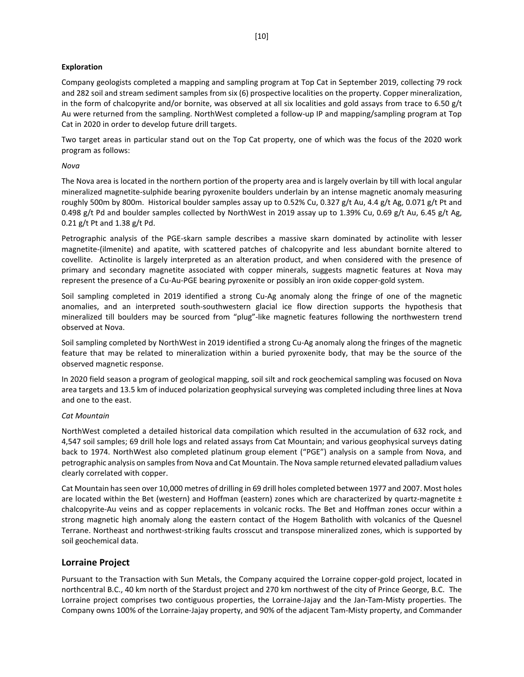#### **Exploration**

Company geologists completed a mapping and sampling program at Top Cat in September 2019, collecting 79 rock and 282 soil and stream sediment samples from six (6) prospective localities on the property. Copper mineralization, in the form of chalcopyrite and/or bornite, was observed at all six localities and gold assays from trace to 6.50 g/t Au were returned from the sampling. NorthWest completed a follow-up IP and mapping/sampling program at Top Cat in 2020 in order to develop future drill targets.

Two target areas in particular stand out on the Top Cat property, one of which was the focus of the 2020 work program as follows:

#### *Nova*

The Nova area is located in the northern portion of the property area and is largely overlain by till with local angular mineralized magnetite-sulphide bearing pyroxenite boulders underlain by an intense magnetic anomaly measuring roughly 500m by 800m. Historical boulder samples assay up to 0.52% Cu, 0.327 g/t Au, 4.4 g/t Ag, 0.071 g/t Pt and 0.498 g/t Pd and boulder samples collected by NorthWest in 2019 assay up to 1.39% Cu, 0.69 g/t Au, 6.45 g/t Ag, 0.21 g/t Pt and 1.38 g/t Pd.

Petrographic analysis of the PGE-skarn sample describes a massive skarn dominated by actinolite with lesser magnetite-(ilmenite) and apatite, with scattered patches of chalcopyrite and less abundant bornite altered to covellite. Actinolite is largely interpreted as an alteration product, and when considered with the presence of primary and secondary magnetite associated with copper minerals, suggests magnetic features at Nova may represent the presence of a Cu-Au-PGE bearing pyroxenite or possibly an iron oxide copper-gold system.

Soil sampling completed in 2019 identified a strong Cu-Ag anomaly along the fringe of one of the magnetic anomalies, and an interpreted south-southwestern glacial ice flow direction supports the hypothesis that mineralized till boulders may be sourced from "plug"-like magnetic features following the northwestern trend observed at Nova.

Soil sampling completed by NorthWest in 2019 identified a strong Cu-Ag anomaly along the fringes of the magnetic feature that may be related to mineralization within a buried pyroxenite body, that may be the source of the observed magnetic response.

In 2020 field season a program of geological mapping, soil silt and rock geochemical sampling was focused on Nova area targets and 13.5 km of induced polarization geophysical surveying was completed including three lines at Nova and one to the east.

#### *Cat Mountain*

NorthWest completed a detailed historical data compilation which resulted in the accumulation of 632 rock, and 4,547 soil samples; 69 drill hole logs and related assays from Cat Mountain; and various geophysical surveys dating back to 1974. NorthWest also completed platinum group element ("PGE") analysis on a sample from Nova, and petrographic analysis on samples from Nova and Cat Mountain. The Nova sample returned elevated palladium values clearly correlated with copper.

Cat Mountain has seen over 10,000 metres of drilling in 69 drill holes completed between 1977 and 2007. Most holes are located within the Bet (western) and Hoffman (eastern) zones which are characterized by quartz-magnetite  $\pm$ chalcopyrite-Au veins and as copper replacements in volcanic rocks. The Bet and Hoffman zones occur within a strong magnetic high anomaly along the eastern contact of the Hogem Batholith with volcanics of the Quesnel Terrane. Northeast and northwest-striking faults crosscut and transpose mineralized zones, which is supported by soil geochemical data.

#### **Lorraine Project**

Pursuant to the Transaction with Sun Metals, the Company acquired the Lorraine copper-gold project, located in northcentral B.C., 40 km north of the Stardust project and 270 km northwest of the city of Prince George, B.C. The Lorraine project comprises two contiguous properties, the Lorraine-Jajay and the Jan-Tam-Misty properties. The Company owns 100% of the Lorraine-Jajay property, and 90% of the adjacent Tam-Misty property, and Commander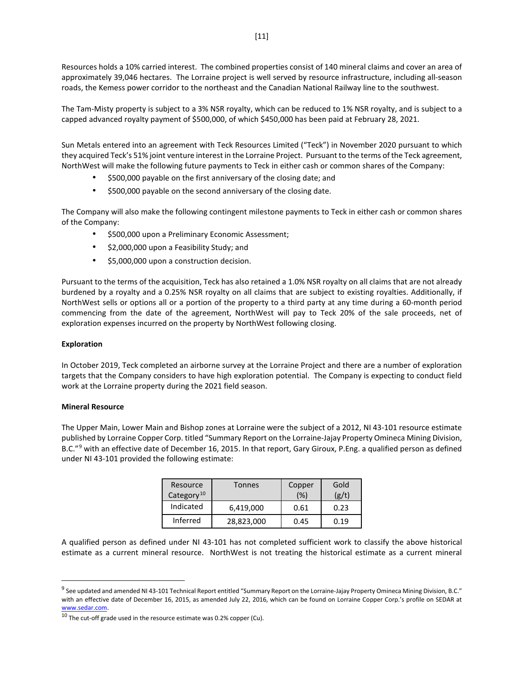Resources holds a 10% carried interest. The combined properties consist of 140 mineral claims and cover an area of approximately 39,046 hectares. The Lorraine project is well served by resource infrastructure, including all-season roads, the Kemess power corridor to the northeast and the Canadian National Railway line to the southwest.

The Tam-Misty property is subject to a 3% NSR royalty, which can be reduced to 1% NSR royalty, and is subject to a capped advanced royalty payment of \$500,000, of which \$450,000 has been paid at February 28, 2021.

Sun Metals entered into an agreement with Teck Resources Limited ("Teck") in November 2020 pursuant to which they acquired Teck's 51% joint venture interest in the Lorraine Project. Pursuant to the terms of the Teck agreement, NorthWest will make the following future payments to Teck in either cash or common shares of the Company:

- \$500,000 payable on the first anniversary of the closing date; and
- \$500,000 payable on the second anniversary of the closing date.

The Company will also make the following contingent milestone payments to Teck in either cash or common shares of the Company:

- \$500,000 upon a Preliminary Economic Assessment;
- \$2,000,000 upon a Feasibility Study; and
- \$5,000,000 upon a construction decision.

Pursuant to the terms of the acquisition, Teck has also retained a 1.0% NSR royalty on all claims that are not already burdened by a royalty and a 0.25% NSR royalty on all claims that are subject to existing royalties. Additionally, if NorthWest sells or options all or a portion of the property to a third party at any time during a 60-month period commencing from the date of the agreement, NorthWest will pay to Teck 20% of the sale proceeds, net of exploration expenses incurred on the property by NorthWest following closing.

#### **Exploration**

In October 2019, Teck completed an airborne survey at the Lorraine Project and there are a number of exploration targets that the Company considers to have high exploration potential. The Company is expecting to conduct field work at the Lorraine property during the 2021 field season.

#### **Mineral Resource**

The Upper Main, Lower Main and Bishop zones at Lorraine were the subject of a 2012, NI 43-101 resource estimate published by Lorraine Copper Corp. titled "Summary Report on the Lorraine-Jajay Property Omineca Mining Division, B.C."<sup>[9](#page-10-0)</sup> with an effective date of December 16, 2015. In that report, Gary Giroux, P.Eng. a qualified person as defined under NI 43-101 provided the following estimate:

| Resource<br>Category <sup>10</sup> | Tonnes     | Copper<br>(% ) | Gold<br>(g/t) |
|------------------------------------|------------|----------------|---------------|
| Indicated                          | 6,419,000  | 0.61           | 0.23          |
| Inferred                           | 28,823,000 | 0.45           | 0.19          |

A qualified person as defined under NI 43-101 has not completed sufficient work to classify the above historical estimate as a current mineral resource. NorthWest is not treating the historical estimate as a current mineral

<span id="page-10-0"></span> $9$  See updated and amended NI 43-101 Technical Report entitled "Summary Report on the Lorraine-Jajay Property Omineca Mining Division, B.C." with an effective date of December 16, 2015, as amended July 22, 2016, which can be found on Lorraine Copper Corp.'s profile on SEDAR at www.sedar.com.

<span id="page-10-1"></span> $10$  The cut-off grade used in the resource estimate was 0.2% copper (Cu).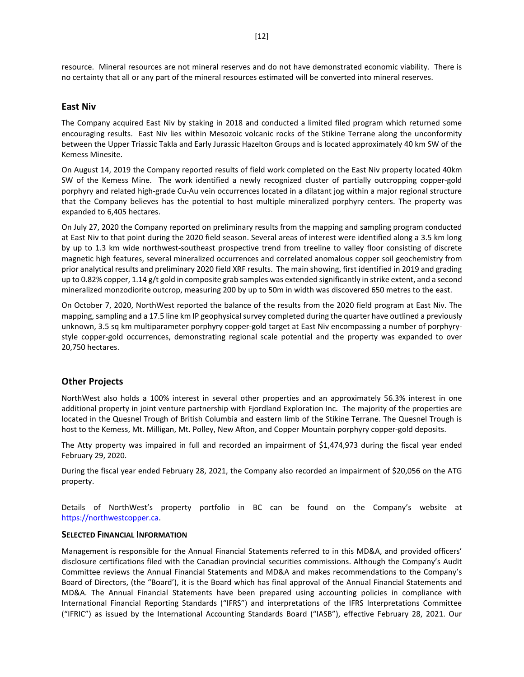resource. Mineral resources are not mineral reserves and do not have demonstrated economic viability. There is no certainty that all or any part of the mineral resources estimated will be converted into mineral reserves.

#### **East Niv**

The Company acquired East Niv by staking in 2018 and conducted a limited filed program which returned some encouraging results. East Niv lies within Mesozoic volcanic rocks of the Stikine Terrane along the unconformity between the Upper Triassic Takla and Early Jurassic Hazelton Groups and is located approximately 40 km SW of the Kemess Minesite.

On August 14, 2019 the Company reported results of field work completed on the East Niv property located 40km SW of the Kemess Mine. The work identified a newly recognized cluster of partially outcropping copper-gold porphyry and related high-grade Cu-Au vein occurrences located in a dilatant jog within a major regional structure that the Company believes has the potential to host multiple mineralized porphyry centers. The property was expanded to 6,405 hectares.

On July 27, 2020 the Company reported on preliminary results from the mapping and sampling program conducted at East Niv to that point during the 2020 field season. Several areas of interest were identified along a 3.5 km long by up to 1.3 km wide northwest-southeast prospective trend from treeline to valley floor consisting of discrete magnetic high features, several mineralized occurrences and correlated anomalous copper soil geochemistry from prior analytical results and preliminary 2020 field XRF results. The main showing, first identified in 2019 and grading up to 0.82% copper, 1.14 g/t gold in composite grab samples was extended significantly in strike extent, and a second mineralized monzodiorite outcrop, measuring 200 by up to 50m in width was discovered 650 metres to the east.

On October 7, 2020, NorthWest reported the balance of the results from the 2020 field program at East Niv. The mapping, sampling and a 17.5 line km IP geophysical survey completed during the quarter have outlined a previously unknown, 3.5 sq km multiparameter porphyry copper-gold target at East Niv encompassing a number of porphyrystyle copper-gold occurrences, demonstrating regional scale potential and the property was expanded to over 20,750 hectares.

#### **Other Projects**

NorthWest also holds a 100% interest in several other properties and an approximately 56.3% interest in one additional property in joint venture partnership with Fjordland Exploration Inc. The majority of the properties are located in the Quesnel Trough of British Columbia and eastern limb of the Stikine Terrane. The Quesnel Trough is host to the Kemess, Mt. Milligan, Mt. Polley, New Afton, and Copper Mountain porphyry copper-gold deposits.

The Atty property was impaired in full and recorded an impairment of \$1,474,973 during the fiscal year ended February 29, 2020.

During the fiscal year ended February 28, 2021, the Company also recorded an impairment of \$20,056 on the ATG property.

Details of NorthWest's property portfolio in BC can be found on the Company's website at [https://northwestcopper.ca.](https://northwestcopper.ca/)

#### **SELECTED FINANCIAL INFORMATION**

Management is responsible for the Annual Financial Statements referred to in this MD&A, and provided officers' disclosure certifications filed with the Canadian provincial securities commissions. Although the Company's Audit Committee reviews the Annual Financial Statements and MD&A and makes recommendations to the Company's Board of Directors, (the "Board'), it is the Board which has final approval of the Annual Financial Statements and MD&A. The Annual Financial Statements have been prepared using accounting policies in compliance with International Financial Reporting Standards ("IFRS") and interpretations of the IFRS Interpretations Committee ("IFRIC") as issued by the International Accounting Standards Board ("IASB"), effective February 28, 2021. Our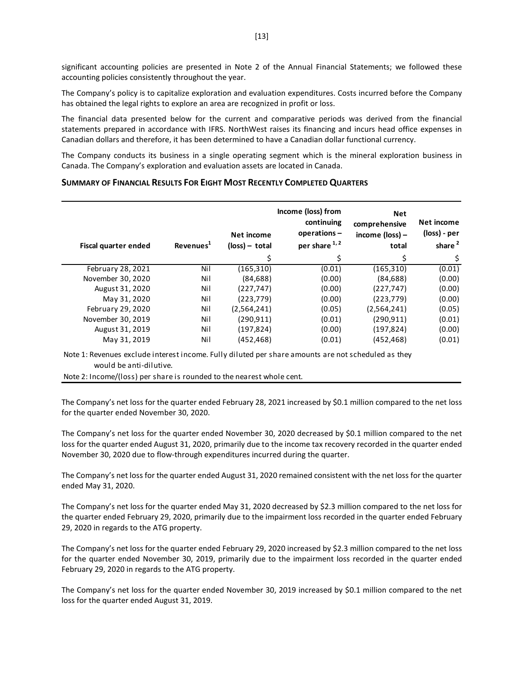significant accounting policies are presented in Note 2 of the Annual Financial Statements; we followed these accounting policies consistently throughout the year.

The Company's policy is to capitalize exploration and evaluation expenditures. Costs incurred before the Company has obtained the legal rights to explore an area are recognized in profit or loss.

The financial data presented below for the current and comparative periods was derived from the financial statements prepared in accordance with IFRS. NorthWest raises its financing and incurs head office expenses in Canadian dollars and therefore, it has been determined to have a Canadian dollar functional currency.

The Company conducts its business in a single operating segment which is the mineral exploration business in Canada. The Company's exploration and evaluation assets are located in Canada.

#### **SUMMARY OF FINANCIAL RESULTS FOR EIGHT MOST RECENTLY COMPLETED QUARTERS**

| Fiscal quarter ended | Revenues <sup>1</sup> | Net income<br>$(\text{loss})$ – total | Income (loss) from<br>continuing<br>operations-<br>per share 1,2 | <b>Net</b><br>comprehensive<br>income $(\text{loss})$ –<br>total | Net income<br>(loss) - per<br>share <sup>2</sup> |
|----------------------|-----------------------|---------------------------------------|------------------------------------------------------------------|------------------------------------------------------------------|--------------------------------------------------|
|                      |                       | \$                                    |                                                                  | \$                                                               | \$                                               |
| February 28, 2021    | Nil                   | (165,310)                             | (0.01)                                                           | (165, 310)                                                       | (0.01)                                           |
| November 30, 2020    | Nil                   | (84, 688)                             | (0.00)                                                           | (84, 688)                                                        | (0.00)                                           |
| August 31, 2020      | Nil                   | (227, 747)                            | (0.00)                                                           | (227, 747)                                                       | (0.00)                                           |
| May 31, 2020         | Nil                   | (223,779)                             | (0.00)                                                           | (223, 779)                                                       | (0.00)                                           |
| February 29, 2020    | Nil                   | (2,564,241)                           | (0.05)                                                           | (2,564,241)                                                      | (0.05)                                           |
| November 30, 2019    | Nil                   | (290.911)                             | (0.01)                                                           | (290.911)                                                        | (0.01)                                           |
| August 31, 2019      | Nil                   | (197,824)                             | (0.00)                                                           | (197, 824)                                                       | (0.00)                                           |
| May 31, 2019         | Nil                   | (452, 468)                            | (0.01)                                                           | (452, 468)                                                       | (0.01)                                           |

Note 1: Revenues exclude interest income. Fully diluted per share amounts are not scheduled as they would be anti-dilutive.

Note 2: Income/(loss) per share is rounded to the nearest whole cent.

The Company's net loss for the quarter ended February 28, 2021 increased by \$0.1 million compared to the net loss for the quarter ended November 30, 2020.

The Company's net loss for the quarter ended November 30, 2020 decreased by \$0.1 million compared to the net loss for the quarter ended August 31, 2020, primarily due to the income tax recovery recorded in the quarter ended November 30, 2020 due to flow-through expenditures incurred during the quarter.

The Company's net loss for the quarter ended August 31, 2020 remained consistent with the net loss for the quarter ended May 31, 2020.

The Company's net loss for the quarter ended May 31, 2020 decreased by \$2.3 million compared to the net loss for the quarter ended February 29, 2020, primarily due to the impairment loss recorded in the quarter ended February 29, 2020 in regards to the ATG property.

The Company's net loss for the quarter ended February 29, 2020 increased by \$2.3 million compared to the net loss for the quarter ended November 30, 2019, primarily due to the impairment loss recorded in the quarter ended February 29, 2020 in regards to the ATG property.

The Company's net loss for the quarter ended November 30, 2019 increased by \$0.1 million compared to the net loss for the quarter ended August 31, 2019.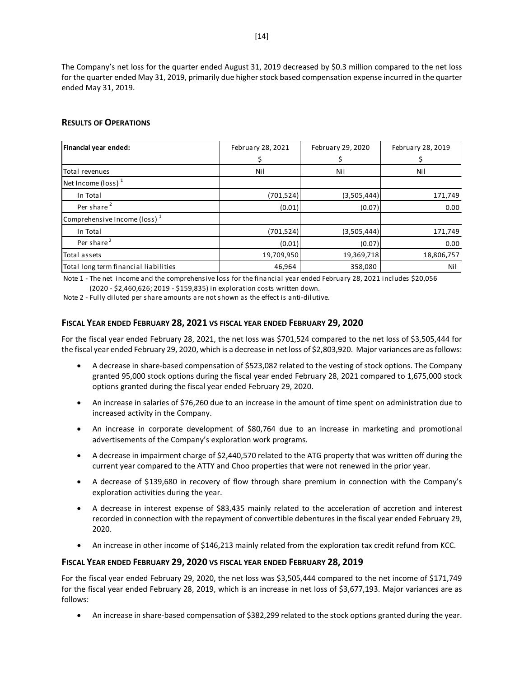The Company's net loss for the quarter ended August 31, 2019 decreased by \$0.3 million compared to the net loss for the quarter ended May 31, 2019, primarily due higher stock based compensation expense incurred in the quarter ended May 31, 2019.

## **RESULTS OF OPERATIONS**

| Financial year ended:                 | February 28, 2021 | February 29, 2020 | February 28, 2019 |
|---------------------------------------|-------------------|-------------------|-------------------|
|                                       |                   |                   |                   |
| Total revenues                        | Nil               | Nil               | Nil               |
| Net Income (loss) $1$                 |                   |                   |                   |
| In Total                              | (701, 524)        | (3,505,444)       | 171,749           |
| Per share <sup>2</sup>                | (0.01)            | (0.07)            | 0.00              |
| Comprehensive Income (loss) $1$       |                   |                   |                   |
| In Total                              | (701, 524)        | (3,505,444)       | 171,749           |
| Per share <sup>2</sup>                | (0.01)            | (0.07)            | 0.00              |
| Total assets                          | 19,709,950        | 19,369,718        | 18,806,757        |
| Total long term financial liabilities | 46,964            | 358,080           | Nil               |

Note 1 - The net income and the comprehensive loss for the financial year ended February 28, 2021 includes \$20,056 (2020 - \$2,460,626; 2019 - \$159,835) in exploration costs written down.

Note 2 - Fully diluted per share amounts are not shown as the effect is anti-dilutive.

# **FISCAL YEAR ENDED FEBRUARY 28, 2021 VS FISCAL YEAR ENDED FEBRUARY 29, 2020**

For the fiscal year ended February 28, 2021, the net loss was \$701,524 compared to the net loss of \$3,505,444 for the fiscal year ended February 29, 2020, which is a decrease in net loss of \$2,803,920. Major variances are as follows:

- A decrease in share-based compensation of \$523,082 related to the vesting of stock options. The Company granted 95,000 stock options during the fiscal year ended February 28, 2021 compared to 1,675,000 stock options granted during the fiscal year ended February 29, 2020.
- An increase in salaries of \$76,260 due to an increase in the amount of time spent on administration due to increased activity in the Company.
- An increase in corporate development of \$80,764 due to an increase in marketing and promotional advertisements of the Company's exploration work programs.
- A decrease in impairment charge of \$2,440,570 related to the ATG property that was written off during the current year compared to the ATTY and Choo properties that were not renewed in the prior year.
- A decrease of \$139,680 in recovery of flow through share premium in connection with the Company's exploration activities during the year.
- A decrease in interest expense of \$83,435 mainly related to the acceleration of accretion and interest recorded in connection with the repayment of convertible debentures in the fiscal year ended February 29, 2020.
- An increase in other income of \$146,213 mainly related from the exploration tax credit refund from KCC.

#### **FISCAL YEAR ENDED FEBRUARY 29, 2020 VS FISCAL YEAR ENDED FEBRUARY 28, 2019**

For the fiscal year ended February 29, 2020, the net loss was \$3,505,444 compared to the net income of \$171,749 for the fiscal year ended February 28, 2019, which is an increase in net loss of \$3,677,193. Major variances are as follows:

• An increase in share-based compensation of \$382,299 related to the stock options granted during the year.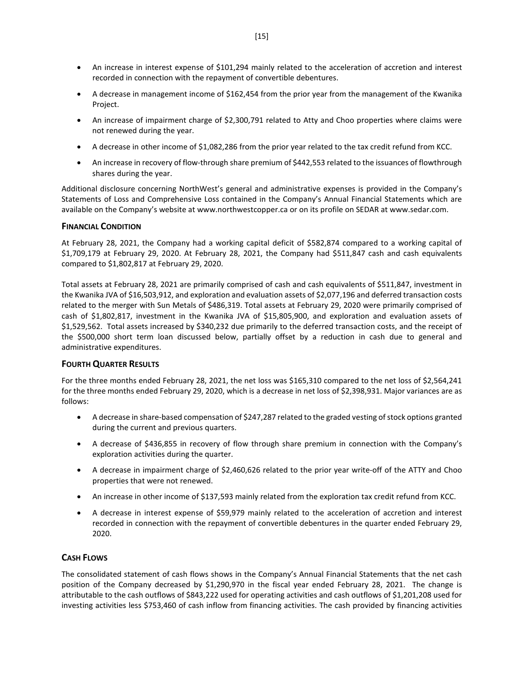- An increase in interest expense of \$101,294 mainly related to the acceleration of accretion and interest recorded in connection with the repayment of convertible debentures.
- A decrease in management income of \$162,454 from the prior year from the management of the Kwanika Project.
- An increase of impairment charge of \$2,300,791 related to Atty and Choo properties where claims were not renewed during the year.
- A decrease in other income of \$1,082,286 from the prior year related to the tax credit refund from KCC.
- An increase in recovery of flow-through share premium of \$442,553 related to the issuances of flowthrough shares during the year.

Additional disclosure concerning NorthWest's general and administrative expenses is provided in the Company's Statements of Loss and Comprehensive Loss contained in the Company's Annual Financial Statements which are available on the Company's website at www.northwestcopper.ca or on its profile on SEDAR at www.sedar.com.

#### **FINANCIAL CONDITION**

At February 28, 2021, the Company had a working capital deficit of \$582,874 compared to a working capital of \$1,709,179 at February 29, 2020. At February 28, 2021, the Company had \$511,847 cash and cash equivalents compared to \$1,802,817 at February 29, 2020.

Total assets at February 28, 2021 are primarily comprised of cash and cash equivalents of \$511,847, investment in the Kwanika JVA of \$16,503,912, and exploration and evaluation assets of \$2,077,196 and deferred transaction costs related to the merger with Sun Metals of \$486,319. Total assets at February 29, 2020 were primarily comprised of cash of \$1,802,817, investment in the Kwanika JVA of \$15,805,900, and exploration and evaluation assets of \$1,529,562. Total assets increased by \$340,232 due primarily to the deferred transaction costs, and the receipt of the \$500,000 short term loan discussed below, partially offset by a reduction in cash due to general and administrative expenditures.

#### **FOURTH QUARTER RESULTS**

For the three months ended February 28, 2021, the net loss was \$165,310 compared to the net loss of \$2,564,241 for the three months ended February 29, 2020, which is a decrease in net loss of \$2,398,931. Major variances are as follows:

- A decrease in share-based compensation of \$247,287 related to the graded vesting of stock options granted during the current and previous quarters.
- A decrease of \$436,855 in recovery of flow through share premium in connection with the Company's exploration activities during the quarter.
- A decrease in impairment charge of \$2,460,626 related to the prior year write-off of the ATTY and Choo properties that were not renewed.
- An increase in other income of \$137,593 mainly related from the exploration tax credit refund from KCC.
- A decrease in interest expense of \$59,979 mainly related to the acceleration of accretion and interest recorded in connection with the repayment of convertible debentures in the quarter ended February 29, 2020.

#### **CASH FLOWS**

The consolidated statement of cash flows shows in the Company's Annual Financial Statements that the net cash position of the Company decreased by \$1,290,970 in the fiscal year ended February 28, 2021. The change is attributable to the cash outflows of \$843,222 used for operating activities and cash outflows of \$1,201,208 used for investing activities less \$753,460 of cash inflow from financing activities. The cash provided by financing activities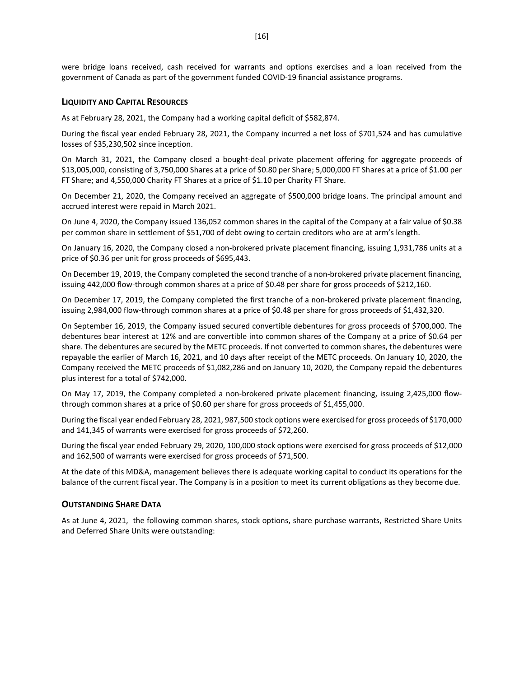were bridge loans received, cash received for warrants and options exercises and a loan received from the government of Canada as part of the government funded COVID-19 financial assistance programs.

#### **LIQUIDITY AND CAPITAL RESOURCES**

As at February 28, 2021, the Company had a working capital deficit of \$582,874.

During the fiscal year ended February 28, 2021, the Company incurred a net loss of \$701,524 and has cumulative losses of \$35,230,502 since inception.

On March 31, 2021, the Company closed a bought-deal private placement offering for aggregate proceeds of \$13,005,000, consisting of 3,750,000 Shares at a price of \$0.80 per Share; 5,000,000 FT Shares at a price of \$1.00 per FT Share; and 4,550,000 Charity FT Shares at a price of \$1.10 per Charity FT Share.

On December 21, 2020, the Company received an aggregate of \$500,000 bridge loans. The principal amount and accrued interest were repaid in March 2021.

On June 4, 2020, the Company issued 136,052 common shares in the capital of the Company at a fair value of \$0.38 per common share in settlement of \$51,700 of debt owing to certain creditors who are at arm's length.

On January 16, 2020, the Company closed a non-brokered private placement financing, issuing 1,931,786 units at a price of \$0.36 per unit for gross proceeds of \$695,443.

On December 19, 2019, the Company completed the second tranche of a non-brokered private placement financing, issuing 442,000 flow-through common shares at a price of \$0.48 per share for gross proceeds of \$212,160.

On December 17, 2019, the Company completed the first tranche of a non-brokered private placement financing, issuing 2,984,000 flow-through common shares at a price of \$0.48 per share for gross proceeds of \$1,432,320.

On September 16, 2019, the Company issued secured convertible debentures for gross proceeds of \$700,000. The debentures bear interest at 12% and are convertible into common shares of the Company at a price of \$0.64 per share. The debentures are secured by the METC proceeds. If not converted to common shares, the debentures were repayable the earlier of March 16, 2021, and 10 days after receipt of the METC proceeds. On January 10, 2020, the Company received the METC proceeds of \$1,082,286 and on January 10, 2020, the Company repaid the debentures plus interest for a total of \$742,000.

On May 17, 2019, the Company completed a non-brokered private placement financing, issuing 2,425,000 flowthrough common shares at a price of \$0.60 per share for gross proceeds of \$1,455,000.

During the fiscal year ended February 28, 2021, 987,500 stock options were exercised for gross proceeds of \$170,000 and 141,345 of warrants were exercised for gross proceeds of \$72,260.

During the fiscal year ended February 29, 2020, 100,000 stock options were exercised for gross proceeds of \$12,000 and 162,500 of warrants were exercised for gross proceeds of \$71,500.

At the date of this MD&A, management believes there is adequate working capital to conduct its operations for the balance of the current fiscal year. The Company is in a position to meet its current obligations as they become due.

#### **OUTSTANDING SHARE DATA**

As at June 4, 2021, the following common shares, stock options, share purchase warrants, Restricted Share Units and Deferred Share Units were outstanding: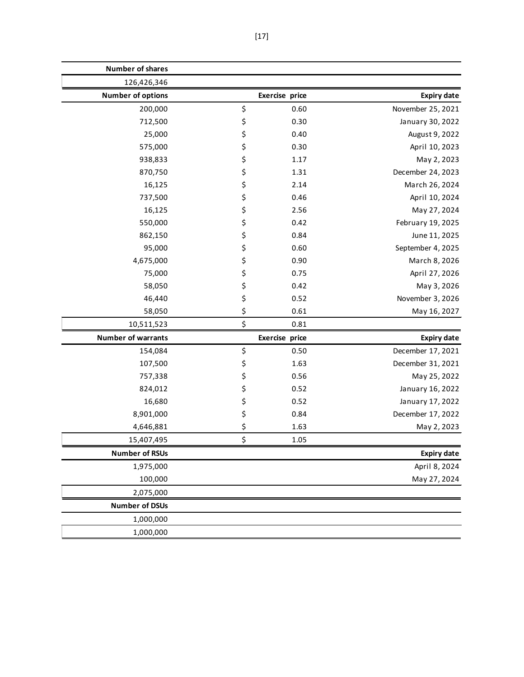| <b>Number of shares</b>   |                |                    |
|---------------------------|----------------|--------------------|
| 126,426,346               |                |                    |
| <b>Number of options</b>  | Exercise price | <b>Expiry date</b> |
| 200,000                   | \$<br>0.60     | November 25, 2021  |
| 712,500                   | \$<br>0.30     | January 30, 2022   |
| 25,000                    | \$<br>0.40     | August 9, 2022     |
| 575,000                   | \$<br>0.30     | April 10, 2023     |
| 938,833                   | \$<br>1.17     | May 2, 2023        |
| 870,750                   | \$<br>1.31     | December 24, 2023  |
| 16,125                    | \$<br>2.14     | March 26, 2024     |
| 737,500                   | \$<br>0.46     | April 10, 2024     |
| 16,125                    | \$<br>2.56     | May 27, 2024       |
| 550,000                   | \$<br>0.42     | February 19, 2025  |
| 862,150                   | \$<br>0.84     | June 11, 2025      |
| 95,000                    | \$<br>0.60     | September 4, 2025  |
| 4,675,000                 | \$<br>0.90     | March 8, 2026      |
| 75,000                    | \$<br>0.75     | April 27, 2026     |
| 58,050                    | \$<br>0.42     | May 3, 2026        |
| 46,440                    | \$<br>0.52     | November 3, 2026   |
| 58,050                    | \$<br>0.61     | May 16, 2027       |
| 10,511,523                | \$<br>0.81     |                    |
| <b>Number of warrants</b> | Exercise price | <b>Expiry date</b> |
| 154,084                   | \$<br>0.50     | December 17, 2021  |
| 107,500                   | \$<br>1.63     | December 31, 2021  |
| 757,338                   | \$<br>0.56     | May 25, 2022       |
| 824,012                   | \$<br>0.52     | January 16, 2022   |
| 16,680                    | \$<br>0.52     | January 17, 2022   |
| 8,901,000                 | \$<br>0.84     | December 17, 2022  |
| 4,646,881                 | \$<br>1.63     | May 2, 2023        |
| 15,407,495                | \$<br>1.05     |                    |
| <b>Number of RSUs</b>     |                | <b>Expiry date</b> |
| 1,975,000                 |                | April 8, 2024      |
| 100,000                   |                | May 27, 2024       |
| 2,075,000                 |                |                    |
| <b>Number of DSUs</b>     |                |                    |
| 1,000,000                 |                |                    |
| 1,000,000                 |                |                    |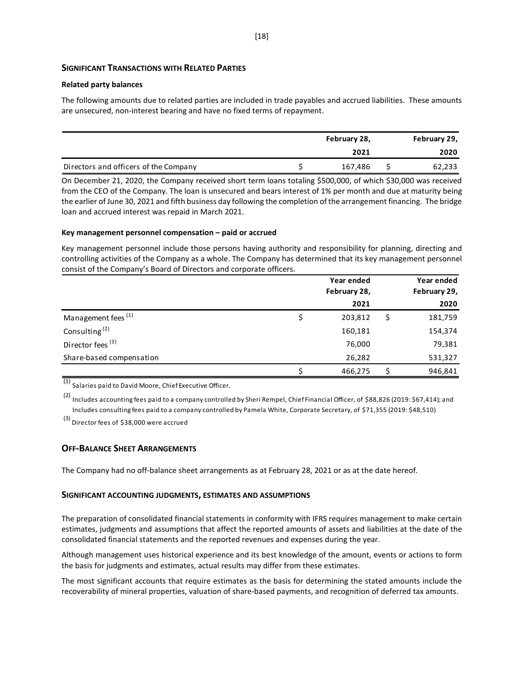#### **SIGNIFICANT TRANSACTIONS WITH RELATED PARTIES**

#### **Related party balances**

The following amounts due to related parties are included in trade payables and accrued liabilities. These amounts are unsecured, non-interest bearing and have no fixed terms of repayment.

|                                       | February 28, |         |  | February 29, |
|---------------------------------------|--------------|---------|--|--------------|
|                                       |              | 2021    |  | 2020         |
| Directors and officers of the Company |              | 167,486 |  | 62,233       |

On December 21, 2020, the Company received short term loans totaling \$500,000, of which \$30,000 was received from the CEO of the Company. The loan is unsecured and bears interest of 1% per month and due at maturity being the earlier of June 30, 2021 and fifth business day following the completion of the arrangement financing. The bridge loan and accrued interest was repaid in March 2021.

#### **Key management personnel compensation – paid or accrued**

Key management personnel include those persons having authority and responsibility for planning, directing and controlling activities of the Company as a whole. The Company has determined that its key management personnel consist of the Company's Board of Directors and corporate officers.

|                                | Year ended    |  |              |
|--------------------------------|---------------|--|--------------|
|                                | February 28,  |  | February 29, |
|                                | 2021          |  | 2020         |
| Management fees <sup>(1)</sup> | \$<br>203,812 |  | 181,759      |
| Consulting <sup>(2)</sup>      | 160,181       |  | 154,374      |
| Director fees <sup>(3)</sup>   | 76,000        |  | 79,381       |
| Share-based compensation       | 26,282        |  | 531,327      |
|                                | 466,275       |  | 946,841      |

 $\overline{(1)}$  Salaries paid to David Moore, Chief Executive Officer.

 $(2)$  Includes accounting fees paid to a company controlled by Sheri Rempel, Chief Financial Officer, of \$88,826 (2019: \$67,414); and Includes consulting fees paid to a company controlled by Pamela White, Corporate Secretary, of \$71,355 (2019: \$48,510)

(3) Director fees of \$38,000 were accrued

#### **OFF-BALANCE SHEET ARRANGEMENTS**

The Company had no off-balance sheet arrangements as at February 28, 2021 or as at the date hereof.

#### **SIGNIFICANT ACCOUNTING JUDGMENTS, ESTIMATES AND ASSUMPTIONS**

The preparation of consolidated financial statements in conformity with IFRS requires management to make certain estimates, judgments and assumptions that affect the reported amounts of assets and liabilities at the date of the consolidated financial statements and the reported revenues and expenses during the year.

Although management uses historical experience and its best knowledge of the amount, events or actions to form the basis for judgments and estimates, actual results may differ from these estimates.

The most significant accounts that require estimates as the basis for determining the stated amounts include the recoverability of mineral properties, valuation of share-based payments, and recognition of deferred tax amounts.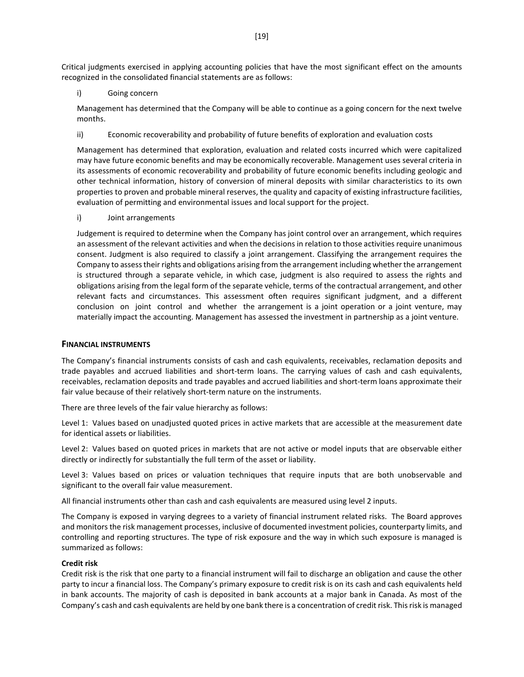Critical judgments exercised in applying accounting policies that have the most significant effect on the amounts recognized in the consolidated financial statements are as follows:

i) Going concern

Management has determined that the Company will be able to continue as a going concern for the next twelve months.

ii) Economic recoverability and probability of future benefits of exploration and evaluation costs

Management has determined that exploration, evaluation and related costs incurred which were capitalized may have future economic benefits and may be economically recoverable. Management uses several criteria in its assessments of economic recoverability and probability of future economic benefits including geologic and other technical information, history of conversion of mineral deposits with similar characteristics to its own properties to proven and probable mineral reserves, the quality and capacity of existing infrastructure facilities, evaluation of permitting and environmental issues and local support for the project.

i) Joint arrangements

Judgement is required to determine when the Company has joint control over an arrangement, which requires an assessment of the relevant activities and when the decisions in relation to those activities require unanimous consent. Judgment is also required to classify a joint arrangement. Classifying the arrangement requires the Company to assess their rights and obligations arising from the arrangement including whether the arrangement is structured through a separate vehicle, in which case, judgment is also required to assess the rights and obligations arising from the legal form of the separate vehicle, terms of the contractual arrangement, and other relevant facts and circumstances. This assessment often requires significant judgment, and a different conclusion on joint control and whether the arrangement is a joint operation or a joint venture, may materially impact the accounting. Management has assessed the investment in partnership as a joint venture.

#### **FINANCIAL INSTRUMENTS**

The Company's financial instruments consists of cash and cash equivalents, receivables, reclamation deposits and trade payables and accrued liabilities and short-term loans. The carrying values of cash and cash equivalents, receivables, reclamation deposits and trade payables and accrued liabilities and short-term loans approximate their fair value because of their relatively short-term nature on the instruments.

There are three levels of the fair value hierarchy as follows:

Level 1: Values based on unadjusted quoted prices in active markets that are accessible at the measurement date for identical assets or liabilities.

Level 2: Values based on quoted prices in markets that are not active or model inputs that are observable either directly or indirectly for substantially the full term of the asset or liability.

Level 3: Values based on prices or valuation techniques that require inputs that are both unobservable and significant to the overall fair value measurement.

All financial instruments other than cash and cash equivalents are measured using level 2 inputs.

The Company is exposed in varying degrees to a variety of financial instrument related risks. The Board approves and monitors the risk management processes, inclusive of documented investment policies, counterparty limits, and controlling and reporting structures. The type of risk exposure and the way in which such exposure is managed is summarized as follows:

#### **Credit risk**

Credit risk is the risk that one party to a financial instrument will fail to discharge an obligation and cause the other party to incur a financial loss. The Company's primary exposure to credit risk is on its cash and cash equivalents held in bank accounts. The majority of cash is deposited in bank accounts at a major bank in Canada. As most of the Company's cash and cash equivalents are held by one bank there is a concentration of credit risk. This risk is managed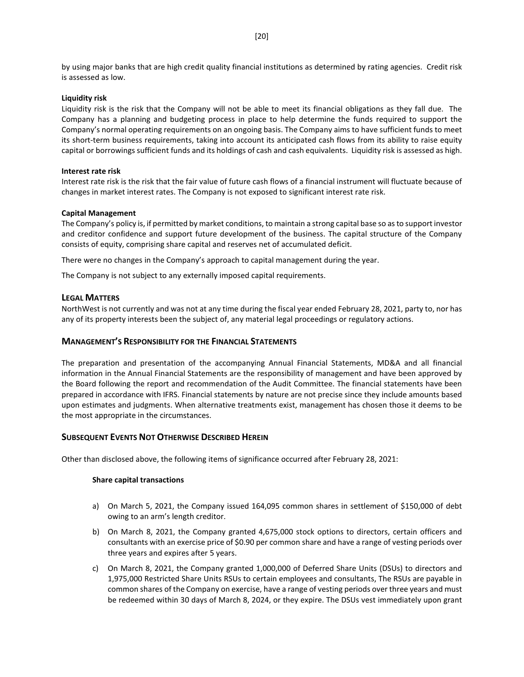by using major banks that are high credit quality financial institutions as determined by rating agencies. Credit risk is assessed as low.

#### **Liquidity risk**

Liquidity risk is the risk that the Company will not be able to meet its financial obligations as they fall due. The Company has a planning and budgeting process in place to help determine the funds required to support the Company's normal operating requirements on an ongoing basis. The Company aims to have sufficient funds to meet its short-term business requirements, taking into account its anticipated cash flows from its ability to raise equity capital or borrowings sufficient funds and its holdings of cash and cash equivalents. Liquidity risk is assessed as high.

#### **Interest rate risk**

Interest rate risk is the risk that the fair value of future cash flows of a financial instrument will fluctuate because of changes in market interest rates. The Company is not exposed to significant interest rate risk.

#### **Capital Management**

The Company's policy is, if permitted by market conditions, to maintain a strong capital base so as to support investor and creditor confidence and support future development of the business. The capital structure of the Company consists of equity, comprising share capital and reserves net of accumulated deficit.

There were no changes in the Company's approach to capital management during the year.

The Company is not subject to any externally imposed capital requirements.

#### **LEGAL MATTERS**

NorthWest is not currently and was not at any time during the fiscal year ended February 28, 2021, party to, nor has any of its property interests been the subject of, any material legal proceedings or regulatory actions.

#### **MANAGEMENT'S RESPONSIBILITY FOR THE FINANCIAL STATEMENTS**

The preparation and presentation of the accompanying Annual Financial Statements, MD&A and all financial information in the Annual Financial Statements are the responsibility of management and have been approved by the Board following the report and recommendation of the Audit Committee. The financial statements have been prepared in accordance with IFRS. Financial statements by nature are not precise since they include amounts based upon estimates and judgments. When alternative treatments exist, management has chosen those it deems to be the most appropriate in the circumstances.

#### **SUBSEQUENT EVENTS NOT OTHERWISE DESCRIBED HEREIN**

Other than disclosed above, the following items of significance occurred after February 28, 2021:

#### **Share capital transactions**

- a) On March 5, 2021, the Company issued 164,095 common shares in settlement of \$150,000 of debt owing to an arm's length creditor.
- b) On March 8, 2021, the Company granted 4,675,000 stock options to directors, certain officers and consultants with an exercise price of \$0.90 per common share and have a range of vesting periods over three years and expires after 5 years.
- c) On March 8, 2021, the Company granted 1,000,000 of Deferred Share Units (DSUs) to directors and 1,975,000 Restricted Share Units RSUs to certain employees and consultants, The RSUs are payable in common shares of the Company on exercise, have a range of vesting periods over three years and must be redeemed within 30 days of March 8, 2024, or they expire. The DSUs vest immediately upon grant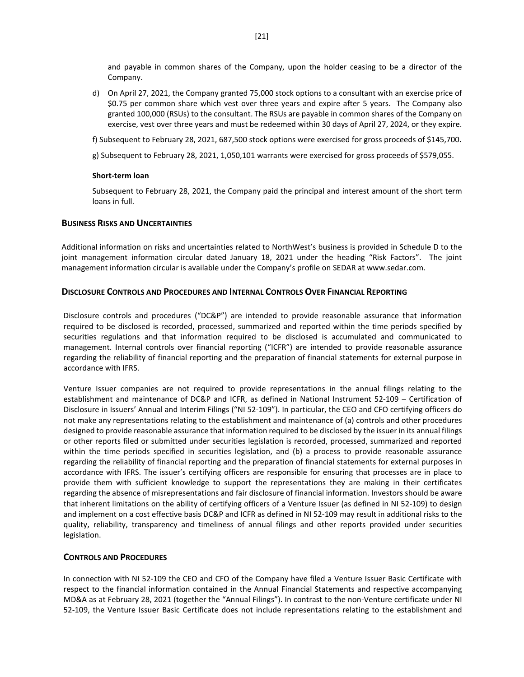and payable in common shares of the Company, upon the holder ceasing to be a director of the Company.

- d) On April 27, 2021, the Company granted 75,000 stock options to a consultant with an exercise price of \$0.75 per common share which vest over three years and expire after 5 years. The Company also granted 100,000 (RSUs) to the consultant. The RSUs are payable in common shares of the Company on exercise, vest over three years and must be redeemed within 30 days of April 27, 2024, or they expire.
- f) Subsequent to February 28, 2021, 687,500 stock options were exercised for gross proceeds of \$145,700.
- g) Subsequent to February 28, 2021, 1,050,101 warrants were exercised for gross proceeds of \$579,055.

#### **Short-term loan**

Subsequent to February 28, 2021, the Company paid the principal and interest amount of the short term loans in full.

#### **BUSINESS RISKS AND UNCERTAINTIES**

Additional information on risks and uncertainties related to NorthWest's business is provided in Schedule D to the joint management information circular dated January 18, 2021 under the heading "Risk Factors". The joint management information circular is available under the Company's profile on SEDAR at www.sedar.com.

#### **DISCLOSURE CONTROLS AND PROCEDURES AND INTERNAL CONTROLS OVER FINANCIAL REPORTING**

Disclosure controls and procedures ("DC&P") are intended to provide reasonable assurance that information required to be disclosed is recorded, processed, summarized and reported within the time periods specified by securities regulations and that information required to be disclosed is accumulated and communicated to management. Internal controls over financial reporting ("ICFR") are intended to provide reasonable assurance regarding the reliability of financial reporting and the preparation of financial statements for external purpose in accordance with IFRS.

Venture Issuer companies are not required to provide representations in the annual filings relating to the establishment and maintenance of DC&P and ICFR, as defined in National Instrument 52-109 – Certification of Disclosure in Issuers' Annual and Interim Filings ("NI 52-109"). In particular, the CEO and CFO certifying officers do not make any representations relating to the establishment and maintenance of (a) controls and other procedures designed to provide reasonable assurance that information required to be disclosed by the issuer in its annual filings or other reports filed or submitted under securities legislation is recorded, processed, summarized and reported within the time periods specified in securities legislation, and (b) a process to provide reasonable assurance regarding the reliability of financial reporting and the preparation of financial statements for external purposes in accordance with IFRS. The issuer's certifying officers are responsible for ensuring that processes are in place to provide them with sufficient knowledge to support the representations they are making in their certificates regarding the absence of misrepresentations and fair disclosure of financial information. Investors should be aware that inherent limitations on the ability of certifying officers of a Venture Issuer (as defined in NI 52-109) to design and implement on a cost effective basis DC&P and ICFR as defined in NI 52-109 may result in additional risks to the quality, reliability, transparency and timeliness of annual filings and other reports provided under securities legislation.

#### **CONTROLS AND PROCEDURES**

In connection with NI 52-109 the CEO and CFO of the Company have filed a Venture Issuer Basic Certificate with respect to the financial information contained in the Annual Financial Statements and respective accompanying MD&A as at February 28, 2021 (together the "Annual Filings"). In contrast to the non-Venture certificate under NI 52-109, the Venture Issuer Basic Certificate does not include representations relating to the establishment and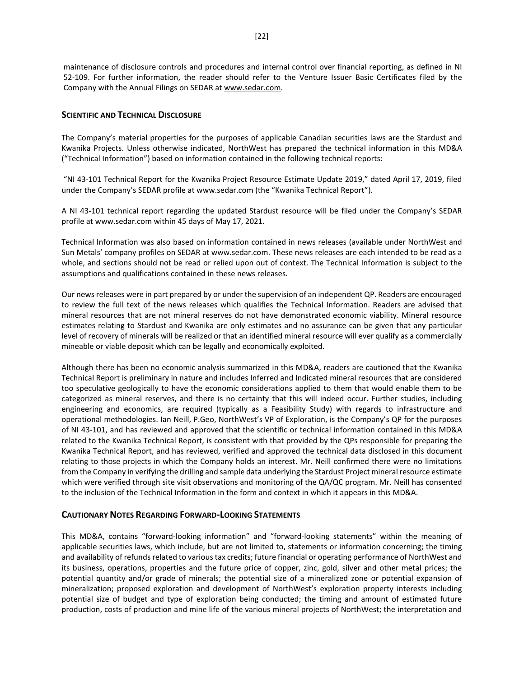maintenance of disclosure controls and procedures and internal control over financial reporting, as defined in NI 52-109. For further information, the reader should refer to the Venture Issuer Basic Certificates filed by the Company with the Annual Filings on SEDAR at www.sedar.com.

#### **SCIENTIFIC AND TECHNICAL DISCLOSURE**

The Company's material properties for the purposes of applicable Canadian securities laws are the Stardust and Kwanika Projects. Unless otherwise indicated, NorthWest has prepared the technical information in this MD&A ("Technical Information") based on information contained in the following technical reports:

"NI 43-101 Technical Report for the Kwanika Project Resource Estimate Update 2019," dated April 17, 2019, filed under the Company's SEDAR profile at [www.sedar.com](http://www.sedar.com/) (the "Kwanika Technical Report").

A NI 43-101 technical report regarding the updated Stardust resource will be filed under the Company's SEDAR profile at [www.sedar.com](http://www.sedar.com/) within 45 days of May 17, 2021.

Technical Information was also based on information contained in news releases (available under NorthWest and Sun Metals' company profiles on SEDAR at www.sedar.com. These news releases are each intended to be read as a whole, and sections should not be read or relied upon out of context. The Technical Information is subject to the assumptions and qualifications contained in these news releases.

Our news releases were in part prepared by or under the supervision of an independent QP. Readers are encouraged to review the full text of the news releases which qualifies the Technical Information. Readers are advised that mineral resources that are not mineral reserves do not have demonstrated economic viability. Mineral resource estimates relating to Stardust and Kwanika are only estimates and no assurance can be given that any particular level of recovery of minerals will be realized or that an identified mineral resource will ever qualify as a commercially mineable or viable deposit which can be legally and economically exploited.

Although there has been no economic analysis summarized in this MD&A, readers are cautioned that the Kwanika Technical Report is preliminary in nature and includes Inferred and Indicated mineral resources that are considered too speculative geologically to have the economic considerations applied to them that would enable them to be categorized as mineral reserves, and there is no certainty that this will indeed occur. Further studies, including engineering and economics, are required (typically as a Feasibility Study) with regards to infrastructure and operational methodologies. Ian Neill, P.Geo, NorthWest's VP of Exploration, is the Company's QP for the purposes of NI 43-101, and has reviewed and approved that the scientific or technical information contained in this MD&A related to the Kwanika Technical Report, is consistent with that provided by the QPs responsible for preparing the Kwanika Technical Report, and has reviewed, verified and approved the technical data disclosed in this document relating to those projects in which the Company holds an interest. Mr. Neill confirmed there were no limitations from the Company in verifying the drilling and sample data underlying the Stardust Project mineral resource estimate which were verified through site visit observations and monitoring of the QA/QC program. Mr. Neill has consented to the inclusion of the Technical Information in the form and context in which it appears in this MD&A.

#### **CAUTIONARY NOTES REGARDING FORWARD-LOOKING STATEMENTS**

This MD&A, contains "forward-looking information" and "forward-looking statements" within the meaning of applicable securities laws, which include, but are not limited to, statements or information concerning; the timing and availability of refunds related to various tax credits; future financial or operating performance of NorthWest and its business, operations, properties and the future price of copper, zinc, gold, silver and other metal prices; the potential quantity and/or grade of minerals; the potential size of a mineralized zone or potential expansion of mineralization; proposed exploration and development of NorthWest's exploration property interests including potential size of budget and type of exploration being conducted; the timing and amount of estimated future production, costs of production and mine life of the various mineral projects of NorthWest; the interpretation and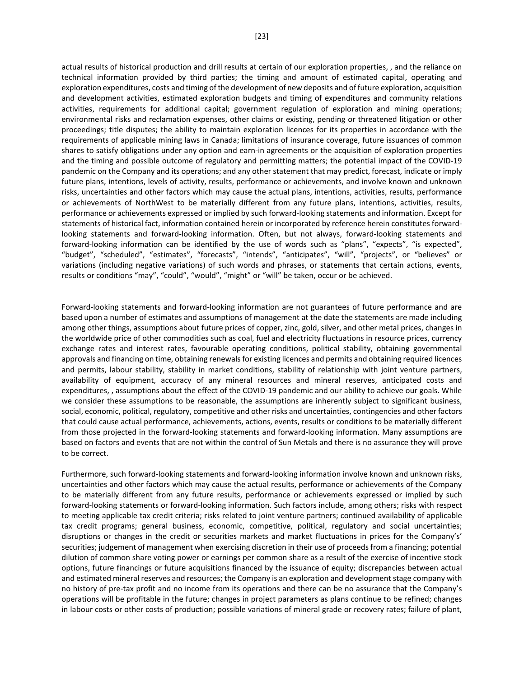actual results of historical production and drill results at certain of our exploration properties, , and the reliance on technical information provided by third parties; the timing and amount of estimated capital, operating and exploration expenditures, costs and timing of the development of new deposits and of future exploration, acquisition and development activities, estimated exploration budgets and timing of expenditures and community relations activities, requirements for additional capital; government regulation of exploration and mining operations; environmental risks and reclamation expenses, other claims or existing, pending or threatened litigation or other proceedings; title disputes; the ability to maintain exploration licences for its properties in accordance with the requirements of applicable mining laws in Canada; limitations of insurance coverage, future issuances of common shares to satisfy obligations under any option and earn-in agreements or the acquisition of exploration properties and the timing and possible outcome of regulatory and permitting matters; the potential impact of the COVID-19 pandemic on the Company and its operations; and any other statement that may predict, forecast, indicate or imply future plans, intentions, levels of activity, results, performance or achievements, and involve known and unknown risks, uncertainties and other factors which may cause the actual plans, intentions, activities, results, performance or achievements of NorthWest to be materially different from any future plans, intentions, activities, results, performance or achievements expressed or implied by such forward-looking statements and information. Except for statements of historical fact, information contained herein or incorporated by reference herein constitutes forwardlooking statements and forward-looking information. Often, but not always, forward-looking statements and forward-looking information can be identified by the use of words such as "plans", "expects", "is expected", "budget", "scheduled", "estimates", "forecasts", "intends", "anticipates", "will", "projects", or "believes" or variations (including negative variations) of such words and phrases, or statements that certain actions, events, results or conditions "may", "could", "would", "might" or "will" be taken, occur or be achieved.

Forward-looking statements and forward-looking information are not guarantees of future performance and are based upon a number of estimates and assumptions of management at the date the statements are made including among other things, assumptions about future prices of copper, zinc, gold, silver, and other metal prices, changes in the worldwide price of other commodities such as coal, fuel and electricity fluctuations in resource prices, currency exchange rates and interest rates, favourable operating conditions, political stability, obtaining governmental approvals and financing on time, obtaining renewals for existing licences and permits and obtaining required licences and permits, labour stability, stability in market conditions, stability of relationship with joint venture partners, availability of equipment, accuracy of any mineral resources and mineral reserves, anticipated costs and expenditures, , assumptions about the effect of the COVID-19 pandemic and our ability to achieve our goals. While we consider these assumptions to be reasonable, the assumptions are inherently subject to significant business, social, economic, political, regulatory, competitive and other risks and uncertainties, contingencies and other factors that could cause actual performance, achievements, actions, events, results or conditions to be materially different from those projected in the forward-looking statements and forward-looking information. Many assumptions are based on factors and events that are not within the control of Sun Metals and there is no assurance they will prove to be correct.

Furthermore, such forward-looking statements and forward-looking information involve known and unknown risks, uncertainties and other factors which may cause the actual results, performance or achievements of the Company to be materially different from any future results, performance or achievements expressed or implied by such forward-looking statements or forward-looking information. Such factors include, among others; risks with respect to meeting applicable tax credit criteria; risks related to joint venture partners; continued availability of applicable tax credit programs; general business, economic, competitive, political, regulatory and social uncertainties; disruptions or changes in the credit or securities markets and market fluctuations in prices for the Company's' securities; judgement of management when exercising discretion in their use of proceeds from a financing; potential dilution of common share voting power or earnings per common share as a result of the exercise of incentive stock options, future financings or future acquisitions financed by the issuance of equity; discrepancies between actual and estimated mineral reserves and resources; the Company is an exploration and development stage company with no history of pre-tax profit and no income from its operations and there can be no assurance that the Company's operations will be profitable in the future; changes in project parameters as plans continue to be refined; changes in labour costs or other costs of production; possible variations of mineral grade or recovery rates; failure of plant,